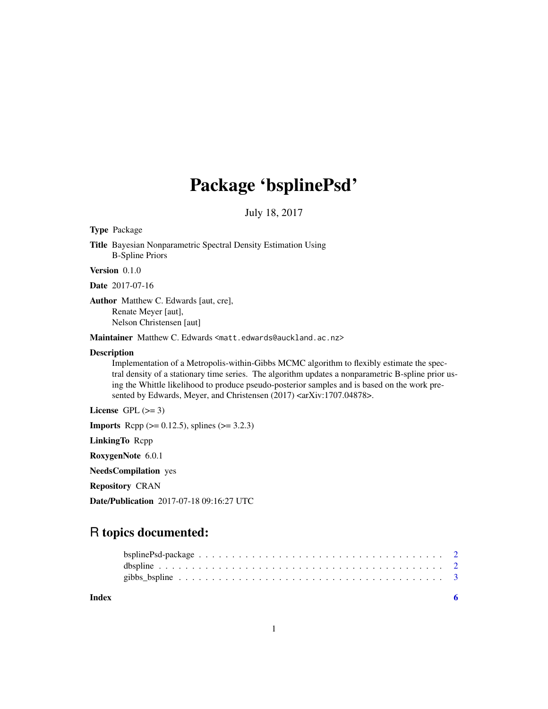## Package 'bsplinePsd'

July 18, 2017

<span id="page-0-0"></span>Type Package

Title Bayesian Nonparametric Spectral Density Estimation Using B-Spline Priors

Version 0.1.0

Date 2017-07-16

Author Matthew C. Edwards [aut, cre], Renate Meyer [aut], Nelson Christensen [aut]

Maintainer Matthew C. Edwards <matt.edwards@auckland.ac.nz>

#### Description

Implementation of a Metropolis-within-Gibbs MCMC algorithm to flexibly estimate the spectral density of a stationary time series. The algorithm updates a nonparametric B-spline prior using the Whittle likelihood to produce pseudo-posterior samples and is based on the work presented by Edwards, Meyer, and Christensen (2017) <arXiv:1707.04878>.

License GPL  $(>= 3)$ 

**Imports** Rcpp  $(>= 0.12.5)$ , splines  $(>= 3.2.3)$ 

LinkingTo Rcpp

RoxygenNote 6.0.1

NeedsCompilation yes

Repository CRAN

Date/Publication 2017-07-18 09:16:27 UTC

### R topics documented:

| Index |  |
|-------|--|
|       |  |
|       |  |
|       |  |

1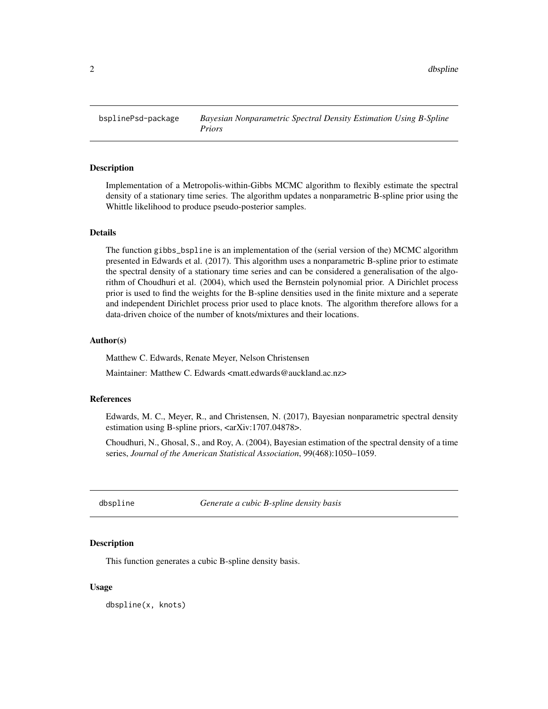<span id="page-1-0"></span>bsplinePsd-package *Bayesian Nonparametric Spectral Density Estimation Using B-Spline Priors*

#### Description

Implementation of a Metropolis-within-Gibbs MCMC algorithm to flexibly estimate the spectral density of a stationary time series. The algorithm updates a nonparametric B-spline prior using the Whittle likelihood to produce pseudo-posterior samples.

#### Details

The function gibbs\_bspline is an implementation of the (serial version of the) MCMC algorithm presented in Edwards et al. (2017). This algorithm uses a nonparametric B-spline prior to estimate the spectral density of a stationary time series and can be considered a generalisation of the algorithm of Choudhuri et al. (2004), which used the Bernstein polynomial prior. A Dirichlet process prior is used to find the weights for the B-spline densities used in the finite mixture and a seperate and independent Dirichlet process prior used to place knots. The algorithm therefore allows for a data-driven choice of the number of knots/mixtures and their locations.

#### Author(s)

Matthew C. Edwards, Renate Meyer, Nelson Christensen

Maintainer: Matthew C. Edwards <matt.edwards@auckland.ac.nz>

#### References

Edwards, M. C., Meyer, R., and Christensen, N. (2017), Bayesian nonparametric spectral density estimation using B-spline priors, <arXiv:1707.04878>.

Choudhuri, N., Ghosal, S., and Roy, A. (2004), Bayesian estimation of the spectral density of a time series, *Journal of the American Statistical Association*, 99(468):1050–1059.

dbspline *Generate a cubic B-spline density basis*

#### **Description**

This function generates a cubic B-spline density basis.

#### Usage

dbspline(x, knots)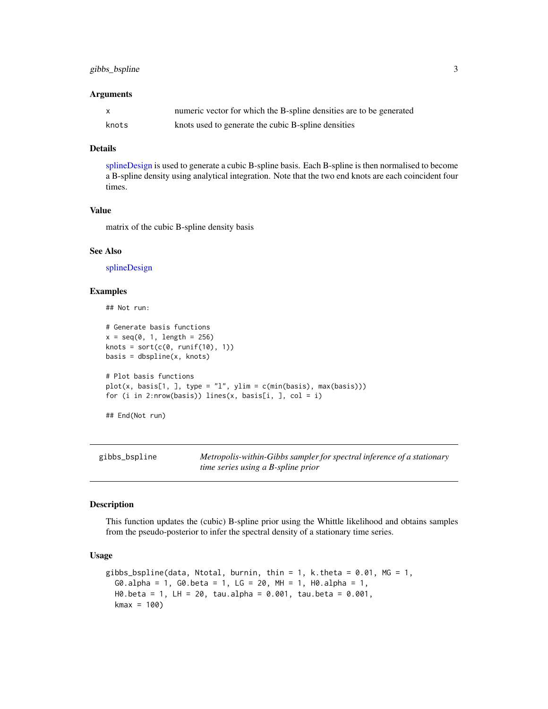#### <span id="page-2-0"></span>gibbs\_bspline 3

#### **Arguments**

|       | numeric vector for which the B-spline densities are to be generated |
|-------|---------------------------------------------------------------------|
| knots | knots used to generate the cubic B-spline densities                 |

#### Details

[splineDesign](#page-0-0) is used to generate a cubic B-spline basis. Each B-spline is then normalised to become a B-spline density using analytical integration. Note that the two end knots are each coincident four times.

#### Value

matrix of the cubic B-spline density basis

#### See Also

[splineDesign](#page-0-0)

#### Examples

```
## Not run:
# Generate basis functions
x = seq(0, 1, length = 256)knots = sort(c(0, runif(10), 1))basis = dbsplitne(x, knots)# Plot basis functions
plot(x, basis[1,], type = "1", ylim = c(min(basis), max(basis)))for (i in 2:nrow(basis)) lines(x, basis[i, ], col = i)
```
## End(Not run)

gibbs\_bspline *Metropolis-within-Gibbs sampler for spectral inference of a stationary time series using a B-spline prior*

#### Description

This function updates the (cubic) B-spline prior using the Whittle likelihood and obtains samples from the pseudo-posterior to infer the spectral density of a stationary time series.

#### Usage

```
gibbs_bspline(data, Ntotal, burnin, thin = 1, k.theta = 0.01, MG = 1,
  G0.alpha = 1, G0.beta = 1, LG = 20, MH = 1, H0.alpha = 1,
 H0.beta = 1, LH = 20, tau.alpha = 0.001, tau.beta = 0.001,
 kmax = 100
```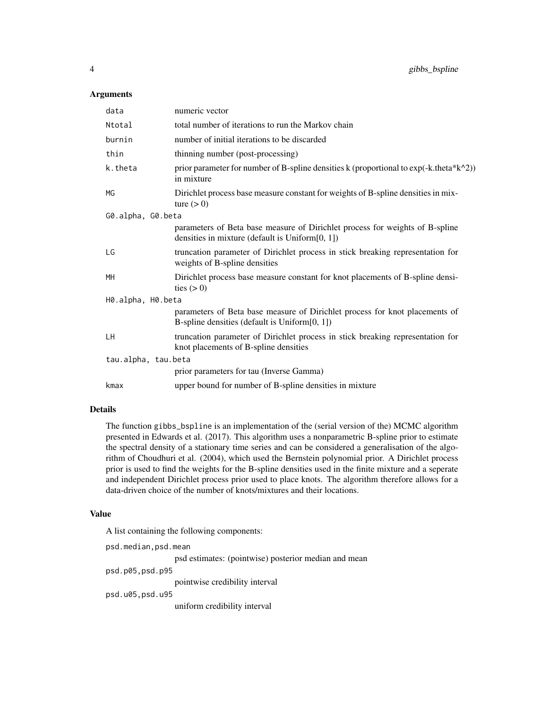#### Arguments

| data                | numeric vector                                                                                                                      |  |  |  |
|---------------------|-------------------------------------------------------------------------------------------------------------------------------------|--|--|--|
| Ntotal              | total number of iterations to run the Markov chain                                                                                  |  |  |  |
| burnin              | number of initial iterations to be discarded                                                                                        |  |  |  |
| thin                | thinning number (post-processing)                                                                                                   |  |  |  |
| k.theta             | prior parameter for number of B-spline densities k (proportional to $exp(-k.theta*k^2)$ )<br>in mixture                             |  |  |  |
| MG                  | Dirichlet process base measure constant for weights of B-spline densities in mix-<br>ture $(> 0)$                                   |  |  |  |
| G0.alpha, G0.beta   |                                                                                                                                     |  |  |  |
|                     | parameters of Beta base measure of Dirichlet process for weights of B-spline<br>densities in mixture (default is Uniform $[0, 1]$ ) |  |  |  |
| LG                  | truncation parameter of Dirichlet process in stick breaking representation for<br>weights of B-spline densities                     |  |  |  |
| MH                  | Dirichlet process base measure constant for knot placements of B-spline densi-<br>ties $(> 0)$                                      |  |  |  |
| H0.alpha, H0.beta   |                                                                                                                                     |  |  |  |
|                     | parameters of Beta base measure of Dirichlet process for knot placements of<br>B-spline densities (default is Uniform $[0, 1]$ )    |  |  |  |
| LН                  | truncation parameter of Dirichlet process in stick breaking representation for<br>knot placements of B-spline densities             |  |  |  |
| tau.alpha, tau.beta |                                                                                                                                     |  |  |  |
|                     | prior parameters for tau (Inverse Gamma)                                                                                            |  |  |  |
| kmax                | upper bound for number of B-spline densities in mixture                                                                             |  |  |  |

#### Details

The function gibbs\_bspline is an implementation of the (serial version of the) MCMC algorithm presented in Edwards et al. (2017). This algorithm uses a nonparametric B-spline prior to estimate the spectral density of a stationary time series and can be considered a generalisation of the algorithm of Choudhuri et al. (2004), which used the Bernstein polynomial prior. A Dirichlet process prior is used to find the weights for the B-spline densities used in the finite mixture and a seperate and independent Dirichlet process prior used to place knots. The algorithm therefore allows for a data-driven choice of the number of knots/mixtures and their locations.

#### Value

A list containing the following components:

psd.median,psd.mean psd estimates: (pointwise) posterior median and mean psd.p05,psd.p95

pointwise credibility interval

psd.u05,psd.u95

uniform credibility interval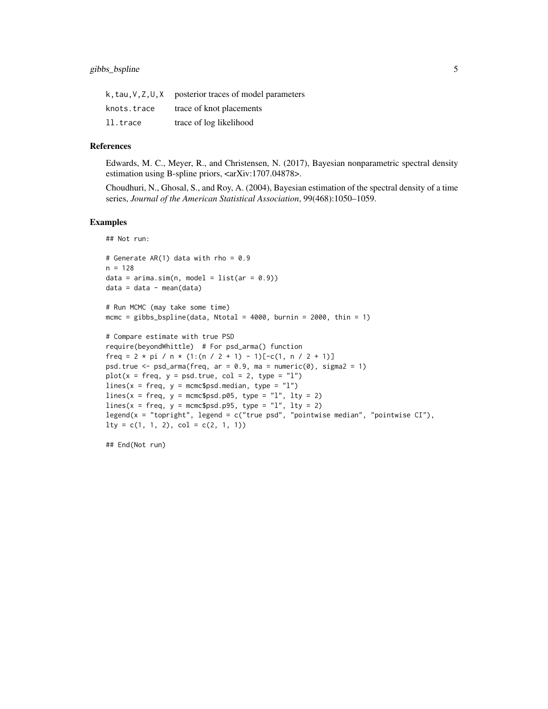|             | k, tau, V, Z, U, X posterior traces of model parameters |
|-------------|---------------------------------------------------------|
| knots.trace | trace of knot placements                                |
| ll.trace    | trace of log likelihood                                 |

#### References

Edwards, M. C., Meyer, R., and Christensen, N. (2017), Bayesian nonparametric spectral density estimation using B-spline priors, <arXiv:1707.04878>.

Choudhuri, N., Ghosal, S., and Roy, A. (2004), Bayesian estimation of the spectral density of a time series, *Journal of the American Statistical Association*, 99(468):1050–1059.

#### Examples

## Not run:

```
# Generate AR(1) data with rho = 0.9n = 128data = arima.sim(n, model = list(ar = 0.9))data = data - mean(data)
```

```
# Run MCMC (may take some time)
mcmc = gibbs_bspline(data, Ntotal = 4000, burnin = 2000, thin = 1)
```

```
# Compare estimate with true PSD
require(beyondWhittle) # For psd_arma() function
freq = 2 * pi / n * (1:(n / 2 + 1) - 1)[-c(1, n / 2 + 1)]psd.true \leq psd_arma(freq, ar = 0.9, ma = numeric(0), sigma2 = 1)
plot(x = freq, y = psd. true, col = 2, type = "l")lines(x = freq, y = mcmc$psd.median, type = "l")
lines(x = freq, y = memcspsd.p@5, type = "l", lty = 2)
lines(x = freq, y = mcmc$psd.p95, type = "l", lty = 2)
legend(x = "topright", legend = c("true psd", "pointwise median", "pointwise CI"),
lty = c(1, 1, 2), col = c(2, 1, 1)
```
## End(Not run)